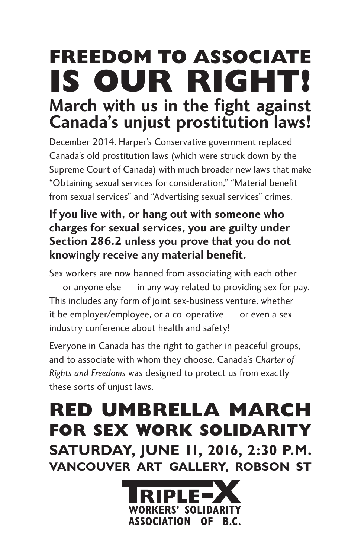## **Freedom to associate is our right! March with us in the fight against Canada's unjust prostitution laws!**

December 2014, Harper's Conservative government replaced Canada's old prostitution laws (which were struck down by the Supreme Court of Canada) with much broader new laws that make "Obtaining sexual services for consideration," "Material benefit from sexual services" and "Advertising sexual services" crimes.

## **If you live with, or hang out with someone who charges for sexual services, you are guilty under Section 286.2 unless you prove that you do not knowingly receive any material benefit.**

Sex workers are now banned from associating with each other — or anyone else — in any way related to providing sex for pay. This includes any form of joint sex-business venture, whether it be employer/employee, or a co-operative — or even a sexindustry conference about health and safety!

Everyone in Canada has the right to gather in peaceful groups, and to associate with whom they choose. Canada's *Charter of Rights and Freedoms* was designed to protect us from exactly these sorts of unjust laws.

## **Red Umbrella March for Sex Work Solidarity Saturday, June 11, 2016, 2:30 p.m. Vancouver Art Gallery, Robson St**